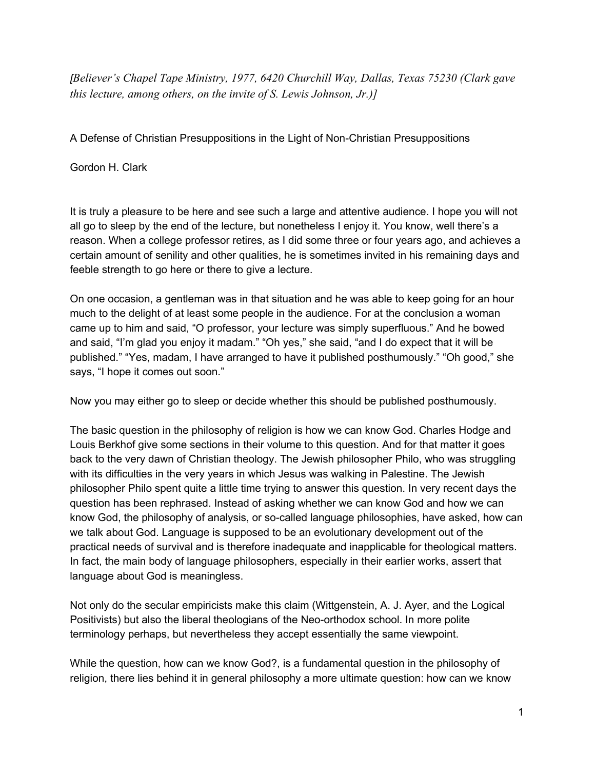*[Believer's Chapel Tape Ministry, 1977, 6420 Churchill Way, Dallas, Texas 75230 (Clark gave this lecture, among others, on the invite of S. Lewis Johnson, Jr.)]*

A Defense of Christian Presuppositions in the Light of Non-Christian Presuppositions

Gordon H. Clark

It is truly a pleasure to be here and see such a large and attentive audience. I hope you will not all go to sleep by the end of the lecture, but nonetheless I enjoy it. You know, well there's a reason. When a college professor retires, as I did some three or four years ago, and achieves a certain amount of senility and other qualities, he is sometimes invited in his remaining days and feeble strength to go here or there to give a lecture.

On one occasion, a gentleman was in that situation and he was able to keep going for an hour much to the delight of at least some people in the audience. For at the conclusion a woman came up to him and said, "O professor, your lecture was simply superfluous." And he bowed and said, "I'm glad you enjoy it madam." "Oh yes," she said, "and I do expect that it will be published." "Yes, madam, I have arranged to have it published posthumously." "Oh good," she says, "I hope it comes out soon."

Now you may either go to sleep or decide whether this should be published posthumously.

The basic question in the philosophy of religion is how we can know God. Charles Hodge and Louis Berkhof give some sections in their volume to this question. And for that matter it goes back to the very dawn of Christian theology. The Jewish philosopher Philo, who was struggling with its difficulties in the very years in which Jesus was walking in Palestine. The Jewish philosopher Philo spent quite a little time trying to answer this question. In very recent days the question has been rephrased. Instead of asking whether we can know God and how we can know God, the philosophy of analysis, or so-called language philosophies, have asked, how can we talk about God. Language is supposed to be an evolutionary development out of the practical needs of survival and is therefore inadequate and inapplicable for theological matters. In fact, the main body of language philosophers, especially in their earlier works, assert that language about God is meaningless.

Not only do the secular empiricists make this claim (Wittgenstein, A. J. Ayer, and the Logical Positivists) but also the liberal theologians of the Neo-orthodox school. In more polite terminology perhaps, but nevertheless they accept essentially the same viewpoint.

While the question, how can we know God?, is a fundamental question in the philosophy of religion, there lies behind it in general philosophy a more ultimate question: how can we know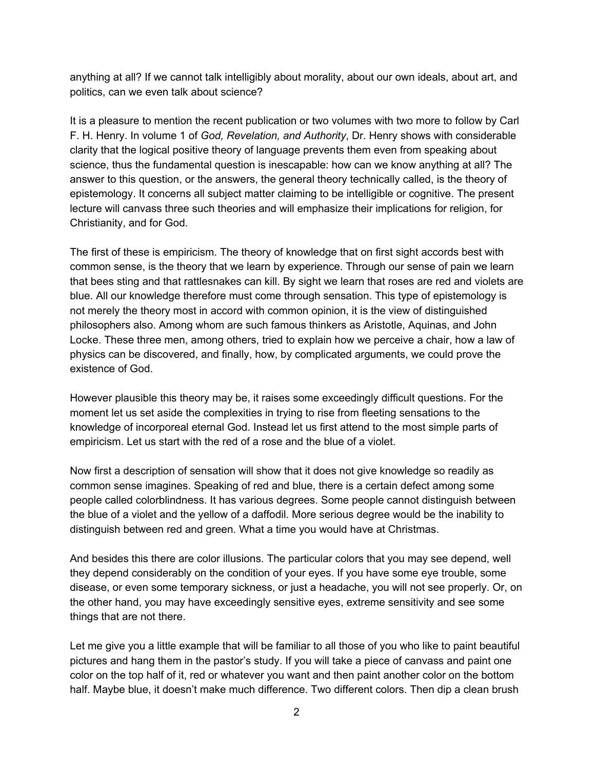anything at all? If we cannot talk intelligibly about morality, about our own ideals, about art, and politics, can we even talk about science?

It is a pleasure to mention the recent publication or two volumes with two more to follow by Carl F. H. Henry. In volume 1 of *God, Revelation, and Authority*, Dr. Henry shows with considerable clarity that the logical positive theory of language prevents them even from speaking about science, thus the fundamental question is inescapable: how can we know anything at all? The answer to this question, or the answers, the general theory technically called, is the theory of epistemology. It concerns all subject matter claiming to be intelligible or cognitive. The present lecture will canvass three such theories and will emphasize their implications for religion, for Christianity, and for God.

The first of these is empiricism. The theory of knowledge that on first sight accords best with common sense, is the theory that we learn by experience. Through our sense of pain we learn that bees sting and that rattlesnakes can kill. By sight we learn that roses are red and violets are blue. All our knowledge therefore must come through sensation. This type of epistemology is not merely the theory most in accord with common opinion, it is the view of distinguished philosophers also. Among whom are such famous thinkers as Aristotle, Aquinas, and John Locke. These three men, among others, tried to explain how we perceive a chair, how a law of physics can be discovered, and finally, how, by complicated arguments, we could prove the existence of God.

However plausible this theory may be, it raises some exceedingly difficult questions. For the moment let us set aside the complexities in trying to rise from fleeting sensations to the knowledge of incorporeal eternal God. Instead let us first attend to the most simple parts of empiricism. Let us start with the red of a rose and the blue of a violet.

Now first a description of sensation will show that it does not give knowledge so readily as common sense imagines. Speaking of red and blue, there is a certain defect among some people called colorblindness. It has various degrees. Some people cannot distinguish between the blue of a violet and the yellow of a daffodil. More serious degree would be the inability to distinguish between red and green. What a time you would have at Christmas.

And besides this there are color illusions. The particular colors that you may see depend, well they depend considerably on the condition of your eyes. If you have some eye trouble, some disease, or even some temporary sickness, or just a headache, you will not see properly. Or, on the other hand, you may have exceedingly sensitive eyes, extreme sensitivity and see some things that are not there.

Let me give you a little example that will be familiar to all those of you who like to paint beautiful pictures and hang them in the pastor's study. If you will take a piece of canvass and paint one color on the top half of it, red or whatever you want and then paint another color on the bottom half. Maybe blue, it doesn't make much difference. Two different colors. Then dip a clean brush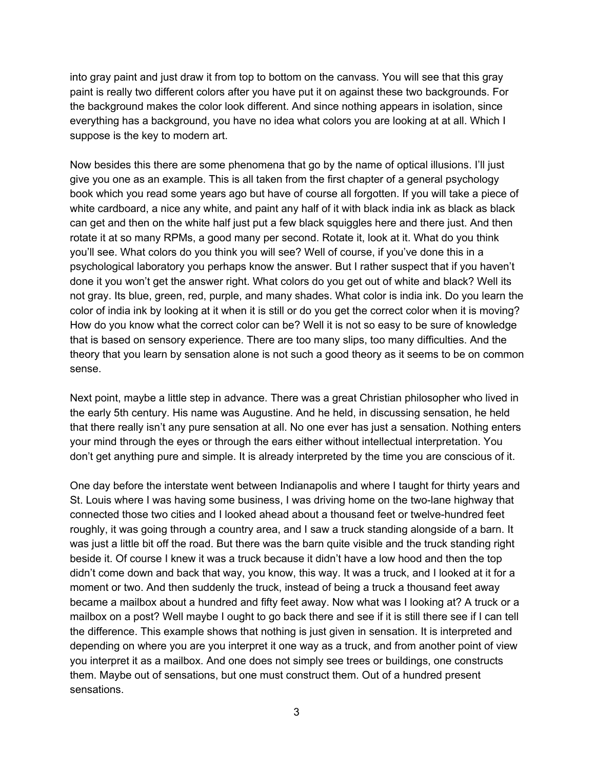into gray paint and just draw it from top to bottom on the canvass. You will see that this gray paint is really two different colors after you have put it on against these two backgrounds. For the background makes the color look different. And since nothing appears in isolation, since everything has a background, you have no idea what colors you are looking at at all. Which I suppose is the key to modern art.

Now besides this there are some phenomena that go by the name of optical illusions. I'll just give you one as an example. This is all taken from the first chapter of a general psychology book which you read some years ago but have of course all forgotten. If you will take a piece of white cardboard, a nice any white, and paint any half of it with black india ink as black as black can get and then on the white half just put a few black squiggles here and there just. And then rotate it at so many RPMs, a good many per second. Rotate it, look at it. What do you think you'll see. What colors do you think you will see? Well of course, if you've done this in a psychological laboratory you perhaps know the answer. But I rather suspect that if you haven't done it you won't get the answer right. What colors do you get out of white and black? Well its not gray. Its blue, green, red, purple, and many shades. What color is india ink. Do you learn the color of india ink by looking at it when it is still or do you get the correct color when it is moving? How do you know what the correct color can be? Well it is not so easy to be sure of knowledge that is based on sensory experience. There are too many slips, too many difficulties. And the theory that you learn by sensation alone is not such a good theory as it seems to be on common sense.

Next point, maybe a little step in advance. There was a great Christian philosopher who lived in the early 5th century. His name was Augustine. And he held, in discussing sensation, he held that there really isn't any pure sensation at all. No one ever has just a sensation. Nothing enters your mind through the eyes or through the ears either without intellectual interpretation. You don't get anything pure and simple. It is already interpreted by the time you are conscious of it.

One day before the interstate went between Indianapolis and where I taught for thirty years and St. Louis where I was having some business, I was driving home on the two-lane highway that connected those two cities and I looked ahead about a thousand feet or twelvehundred feet roughly, it was going through a country area, and I saw a truck standing alongside of a barn. It was just a little bit off the road. But there was the barn quite visible and the truck standing right beside it. Of course I knew it was a truck because it didn't have a low hood and then the top didn't come down and back that way, you know, this way. It was a truck, and I looked at it for a moment or two. And then suddenly the truck, instead of being a truck a thousand feet away became a mailbox about a hundred and fifty feet away. Now what was I looking at? A truck or a mailbox on a post? Well maybe I ought to go back there and see if it is still there see if I can tell the difference. This example shows that nothing is just given in sensation. It is interpreted and depending on where you are you interpret it one way as a truck, and from another point of view you interpret it as a mailbox. And one does not simply see trees or buildings, one constructs them. Maybe out of sensations, but one must construct them. Out of a hundred present sensations.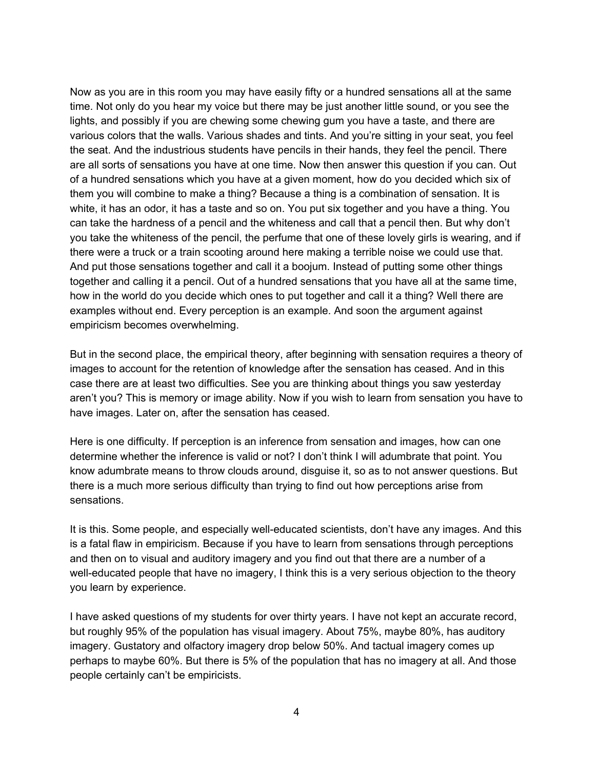Now as you are in this room you may have easily fifty or a hundred sensations all at the same time. Not only do you hear my voice but there may be just another little sound, or you see the lights, and possibly if you are chewing some chewing gum you have a taste, and there are various colors that the walls. Various shades and tints. And you're sitting in your seat, you feel the seat. And the industrious students have pencils in their hands, they feel the pencil. There are all sorts of sensations you have at one time. Now then answer this question if you can. Out of a hundred sensations which you have at a given moment, how do you decided which six of them you will combine to make a thing? Because a thing is a combination of sensation. It is white, it has an odor, it has a taste and so on. You put six together and you have a thing. You can take the hardness of a pencil and the whiteness and call that a pencil then. But why don't you take the whiteness of the pencil, the perfume that one of these lovely girls is wearing, and if there were a truck or a train scooting around here making a terrible noise we could use that. And put those sensations together and call it a boojum. Instead of putting some other things together and calling it a pencil. Out of a hundred sensations that you have all at the same time, how in the world do you decide which ones to put together and call it a thing? Well there are examples without end. Every perception is an example. And soon the argument against empiricism becomes overwhelming.

But in the second place, the empirical theory, after beginning with sensation requires a theory of images to account for the retention of knowledge after the sensation has ceased. And in this case there are at least two difficulties. See you are thinking about things you saw yesterday aren't you? This is memory or image ability. Now if you wish to learn from sensation you have to have images. Later on, after the sensation has ceased.

Here is one difficulty. If perception is an inference from sensation and images, how can one determine whether the inference is valid or not? I don't think I will adumbrate that point. You know adumbrate means to throw clouds around, disguise it, so as to not answer questions. But there is a much more serious difficulty than trying to find out how perceptions arise from sensations.

It is this. Some people, and especially well-educated scientists, don't have any images. And this is a fatal flaw in empiricism. Because if you have to learn from sensations through perceptions and then on to visual and auditory imagery and you find out that there are a number of a well-educated people that have no imagery, I think this is a very serious objection to the theory you learn by experience.

I have asked questions of my students for over thirty years. I have not kept an accurate record, but roughly 95% of the population has visual imagery. About 75%, maybe 80%, has auditory imagery. Gustatory and olfactory imagery drop below 50%. And tactual imagery comes up perhaps to maybe 60%. But there is 5% of the population that has no imagery at all. And those people certainly can't be empiricists.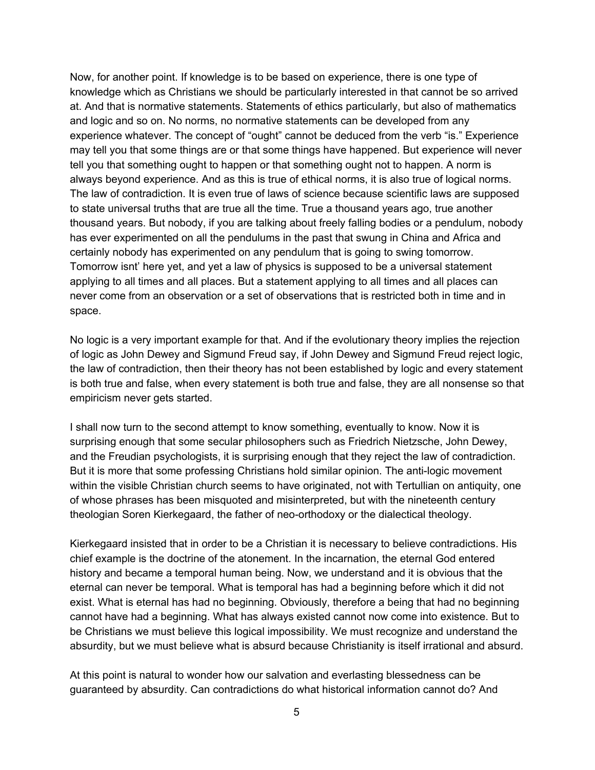Now, for another point. If knowledge is to be based on experience, there is one type of knowledge which as Christians we should be particularly interested in that cannot be so arrived at. And that is normative statements. Statements of ethics particularly, but also of mathematics and logic and so on. No norms, no normative statements can be developed from any experience whatever. The concept of "ought" cannot be deduced from the verb "is." Experience may tell you that some things are or that some things have happened. But experience will never tell you that something ought to happen or that something ought not to happen. A norm is always beyond experience. And as this is true of ethical norms, it is also true of logical norms. The law of contradiction. It is even true of laws of science because scientific laws are supposed to state universal truths that are true all the time. True a thousand years ago, true another thousand years. But nobody, if you are talking about freely falling bodies or a pendulum, nobody has ever experimented on all the pendulums in the past that swung in China and Africa and certainly nobody has experimented on any pendulum that is going to swing tomorrow. Tomorrow isnt' here yet, and yet a law of physics is supposed to be a universal statement applying to all times and all places. But a statement applying to all times and all places can never come from an observation or a set of observations that is restricted both in time and in space.

No logic is a very important example for that. And if the evolutionary theory implies the rejection of logic as John Dewey and Sigmund Freud say, if John Dewey and Sigmund Freud reject logic, the law of contradiction, then their theory has not been established by logic and every statement is both true and false, when every statement is both true and false, they are all nonsense so that empiricism never gets started.

I shall now turn to the second attempt to know something, eventually to know. Now it is surprising enough that some secular philosophers such as Friedrich Nietzsche, John Dewey, and the Freudian psychologists, it is surprising enough that they reject the law of contradiction. But it is more that some professing Christians hold similar opinion. The anti-logic movement within the visible Christian church seems to have originated, not with Tertullian on antiquity, one of whose phrases has been misquoted and misinterpreted, but with the nineteenth century theologian Soren Kierkegaard, the father of neo-orthodoxy or the dialectical theology.

Kierkegaard insisted that in order to be a Christian it is necessary to believe contradictions. His chief example is the doctrine of the atonement. In the incarnation, the eternal God entered history and became a temporal human being. Now, we understand and it is obvious that the eternal can never be temporal. What is temporal has had a beginning before which it did not exist. What is eternal has had no beginning. Obviously, therefore a being that had no beginning cannot have had a beginning. What has always existed cannot now come into existence. But to be Christians we must believe this logical impossibility. We must recognize and understand the absurdity, but we must believe what is absurd because Christianity is itself irrational and absurd.

At this point is natural to wonder how our salvation and everlasting blessedness can be guaranteed by absurdity. Can contradictions do what historical information cannot do? And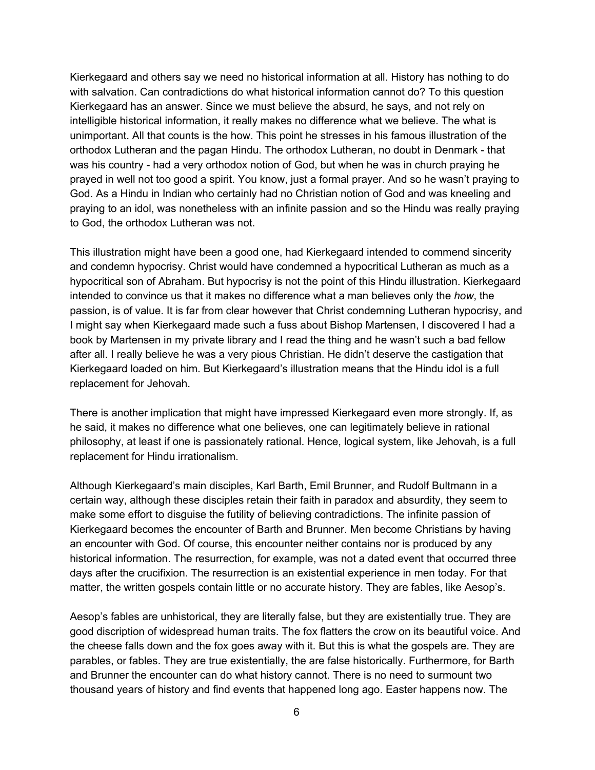Kierkegaard and others say we need no historical information at all. History has nothing to do with salvation. Can contradictions do what historical information cannot do? To this question Kierkegaard has an answer. Since we must believe the absurd, he says, and not rely on intelligible historical information, it really makes no difference what we believe. The what is unimportant. All that counts is the how. This point he stresses in his famous illustration of the orthodox Lutheran and the pagan Hindu. The orthodox Lutheran, no doubt in Denmark - that was his country - had a very orthodox notion of God, but when he was in church praying he prayed in well not too good a spirit. You know, just a formal prayer. And so he wasn't praying to God. As a Hindu in Indian who certainly had no Christian notion of God and was kneeling and praying to an idol, was nonetheless with an infinite passion and so the Hindu was really praying to God, the orthodox Lutheran was not.

This illustration might have been a good one, had Kierkegaard intended to commend sincerity and condemn hypocrisy. Christ would have condemned a hypocritical Lutheran as much as a hypocritical son of Abraham. But hypocrisy is not the point of this Hindu illustration. Kierkegaard intended to convince us that it makes no difference what a man believes only the *how*, the passion, is of value. It is far from clear however that Christ condemning Lutheran hypocrisy, and I might say when Kierkegaard made such a fuss about Bishop Martensen, I discovered I had a book by Martensen in my private library and I read the thing and he wasn't such a bad fellow after all. I really believe he was a very pious Christian. He didn't deserve the castigation that Kierkegaard loaded on him. But Kierkegaard's illustration means that the Hindu idol is a full replacement for Jehovah.

There is another implication that might have impressed Kierkegaard even more strongly. If, as he said, it makes no difference what one believes, one can legitimately believe in rational philosophy, at least if one is passionately rational. Hence, logical system, like Jehovah, is a full replacement for Hindu irrationalism.

Although Kierkegaard's main disciples, Karl Barth, Emil Brunner, and Rudolf Bultmann in a certain way, although these disciples retain their faith in paradox and absurdity, they seem to make some effort to disguise the futility of believing contradictions. The infinite passion of Kierkegaard becomes the encounter of Barth and Brunner. Men become Christians by having an encounter with God. Of course, this encounter neither contains nor is produced by any historical information. The resurrection, for example, was not a dated event that occurred three days after the crucifixion. The resurrection is an existential experience in men today. For that matter, the written gospels contain little or no accurate history. They are fables, like Aesop's.

Aesop's fables are unhistorical, they are literally false, but they are existentially true. They are good discription of widespread human traits. The fox flatters the crow on its beautiful voice. And the cheese falls down and the fox goes away with it. But this is what the gospels are. They are parables, or fables. They are true existentially, the are false historically. Furthermore, for Barth and Brunner the encounter can do what history cannot. There is no need to surmount two thousand years of history and find events that happened long ago. Easter happens now. The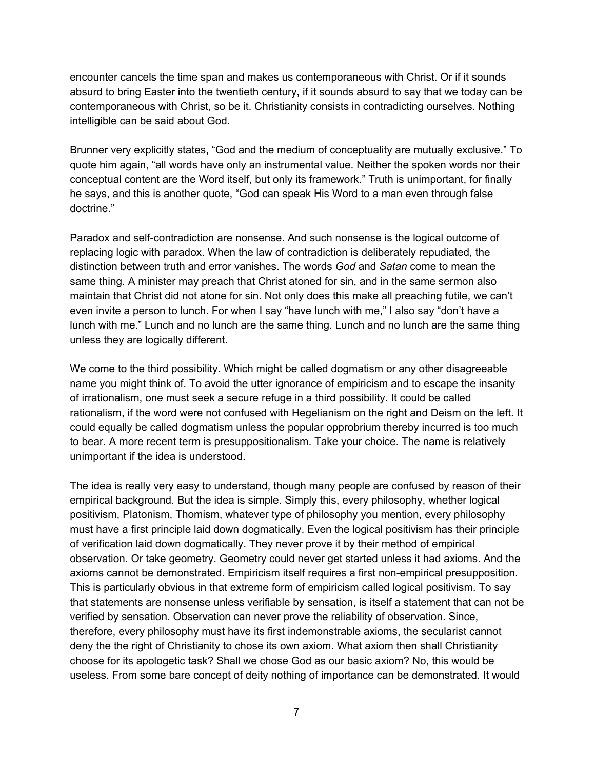encounter cancels the time span and makes us contemporaneous with Christ. Or if it sounds absurd to bring Easter into the twentieth century, if it sounds absurd to say that we today can be contemporaneous with Christ, so be it. Christianity consists in contradicting ourselves. Nothing intelligible can be said about God.

Brunner very explicitly states, "God and the medium of conceptuality are mutually exclusive." To quote him again, "all words have only an instrumental value. Neither the spoken words nor their conceptual content are the Word itself, but only its framework." Truth is unimportant, for finally he says, and this is another quote, "God can speak His Word to a man even through false doctrine."

Paradox and self-contradiction are nonsense. And such nonsense is the logical outcome of replacing logic with paradox. When the law of contradiction is deliberately repudiated, the distinction between truth and error vanishes. The words *God* and *Satan* come to mean the same thing. A minister may preach that Christ atoned for sin, and in the same sermon also maintain that Christ did not atone for sin. Not only does this make all preaching futile, we can't even invite a person to lunch. For when I say "have lunch with me," I also say "don't have a lunch with me." Lunch and no lunch are the same thing. Lunch and no lunch are the same thing unless they are logically different.

We come to the third possibility. Which might be called dogmatism or any other disagreeable name you might think of. To avoid the utter ignorance of empiricism and to escape the insanity of irrationalism, one must seek a secure refuge in a third possibility. It could be called rationalism, if the word were not confused with Hegelianism on the right and Deism on the left. It could equally be called dogmatism unless the popular opprobrium thereby incurred is too much to bear. A more recent term is presuppositionalism. Take your choice. The name is relatively unimportant if the idea is understood.

The idea is really very easy to understand, though many people are confused by reason of their empirical background. But the idea is simple. Simply this, every philosophy, whether logical positivism, Platonism, Thomism, whatever type of philosophy you mention, every philosophy must have a first principle laid down dogmatically. Even the logical positivism has their principle of verification laid down dogmatically. They never prove it by their method of empirical observation. Or take geometry. Geometry could never get started unless it had axioms. And the axioms cannot be demonstrated. Empiricism itself requires a first non-empirical presupposition. This is particularly obvious in that extreme form of empiricism called logical positivism. To say that statements are nonsense unless verifiable by sensation, is itself a statement that can not be verified by sensation. Observation can never prove the reliability of observation. Since, therefore, every philosophy must have its first indemonstrable axioms, the secularist cannot deny the the right of Christianity to chose its own axiom. What axiom then shall Christianity choose for its apologetic task? Shall we chose God as our basic axiom? No, this would be useless. From some bare concept of deity nothing of importance can be demonstrated. It would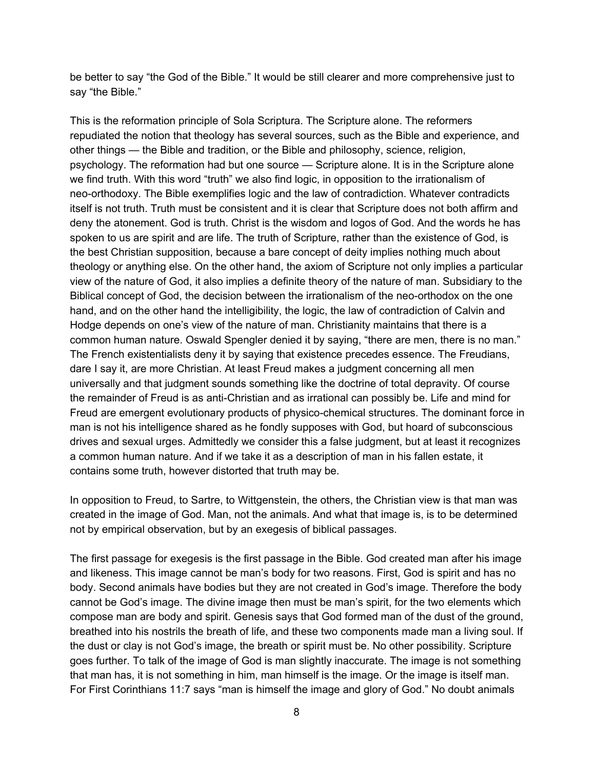be better to say "the God of the Bible." It would be still clearer and more comprehensive just to say "the Bible."

This is the reformation principle of Sola Scriptura. The Scripture alone. The reformers repudiated the notion that theology has several sources, such as the Bible and experience, and other things — the Bible and tradition, or the Bible and philosophy, science, religion, psychology. The reformation had but one source — Scripture alone. It is in the Scripture alone we find truth. With this word "truth" we also find logic, in opposition to the irrationalism of neo-orthodoxy. The Bible exemplifies logic and the law of contradiction. Whatever contradicts itself is not truth. Truth must be consistent and it is clear that Scripture does not both affirm and deny the atonement. God is truth. Christ is the wisdom and logos of God. And the words he has spoken to us are spirit and are life. The truth of Scripture, rather than the existence of God, is the best Christian supposition, because a bare concept of deity implies nothing much about theology or anything else. On the other hand, the axiom of Scripture not only implies a particular view of the nature of God, it also implies a definite theory of the nature of man. Subsidiary to the Biblical concept of God, the decision between the irrationalism of the neo-orthodox on the one hand, and on the other hand the intelligibility, the logic, the law of contradiction of Calvin and Hodge depends on one's view of the nature of man. Christianity maintains that there is a common human nature. Oswald Spengler denied it by saying, "there are men, there is no man." The French existentialists deny it by saying that existence precedes essence. The Freudians, dare I say it, are more Christian. At least Freud makes a judgment concerning all men universally and that judgment sounds something like the doctrine of total depravity. Of course the remainder of Freud is as anti-Christian and as irrational can possibly be. Life and mind for Freud are emergent evolutionary products of physico-chemical structures. The dominant force in man is not his intelligence shared as he fondly supposes with God, but hoard of subconscious drives and sexual urges. Admittedly we consider this a false judgment, but at least it recognizes a common human nature. And if we take it as a description of man in his fallen estate, it contains some truth, however distorted that truth may be.

In opposition to Freud, to Sartre, to Wittgenstein, the others, the Christian view is that man was created in the image of God. Man, not the animals. And what that image is, is to be determined not by empirical observation, but by an exegesis of biblical passages.

The first passage for exegesis is the first passage in the Bible. God created man after his image and likeness. This image cannot be man's body for two reasons. First, God is spirit and has no body. Second animals have bodies but they are not created in God's image. Therefore the body cannot be God's image. The divine image then must be man's spirit, for the two elements which compose man are body and spirit. Genesis says that God formed man of the dust of the ground, breathed into his nostrils the breath of life, and these two components made man a living soul. If the dust or clay is not God's image, the breath or spirit must be. No other possibility. Scripture goes further. To talk of the image of God is man slightly inaccurate. The image is not something that man has, it is not something in him, man himself is the image. Or the image is itself man. For First Corinthians 11:7 says "man is himself the image and glory of God." No doubt animals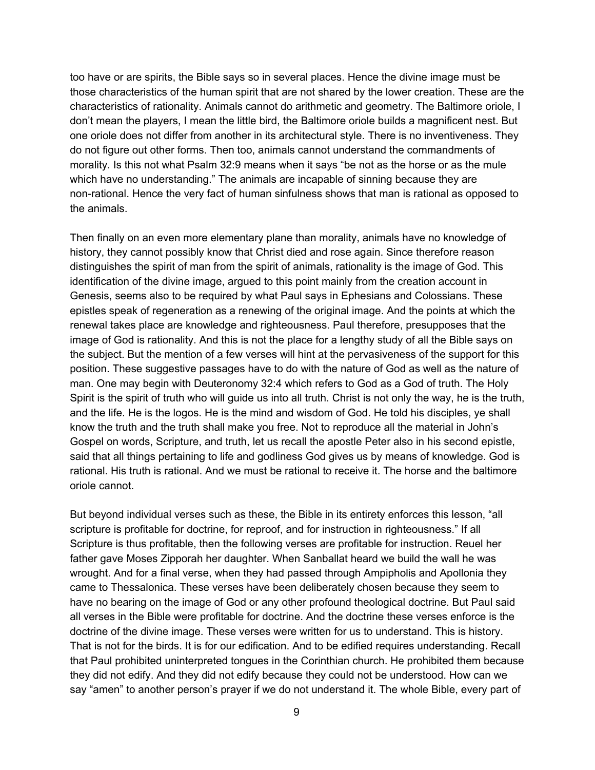too have or are spirits, the Bible says so in several places. Hence the divine image must be those characteristics of the human spirit that are not shared by the lower creation. These are the characteristics of rationality. Animals cannot do arithmetic and geometry. The Baltimore oriole, I don't mean the players, I mean the little bird, the Baltimore oriole builds a magnificent nest. But one oriole does not differ from another in its architectural style. There is no inventiveness. They do not figure out other forms. Then too, animals cannot understand the commandments of morality. Is this not what Psalm 32:9 means when it says "be not as the horse or as the mule which have no understanding." The animals are incapable of sinning because they are non-rational. Hence the very fact of human sinfulness shows that man is rational as opposed to the animals.

Then finally on an even more elementary plane than morality, animals have no knowledge of history, they cannot possibly know that Christ died and rose again. Since therefore reason distinguishes the spirit of man from the spirit of animals, rationality is the image of God. This identification of the divine image, argued to this point mainly from the creation account in Genesis, seems also to be required by what Paul says in Ephesians and Colossians. These epistles speak of regeneration as a renewing of the original image. And the points at which the renewal takes place are knowledge and righteousness. Paul therefore, presupposes that the image of God is rationality. And this is not the place for a lengthy study of all the Bible says on the subject. But the mention of a few verses will hint at the pervasiveness of the support for this position. These suggestive passages have to do with the nature of God as well as the nature of man. One may begin with Deuteronomy 32:4 which refers to God as a God of truth. The Holy Spirit is the spirit of truth who will guide us into all truth. Christ is not only the way, he is the truth, and the life. He is the logos. He is the mind and wisdom of God. He told his disciples, ye shall know the truth and the truth shall make you free. Not to reproduce all the material in John's Gospel on words, Scripture, and truth, let us recall the apostle Peter also in his second epistle, said that all things pertaining to life and godliness God gives us by means of knowledge. God is rational. His truth is rational. And we must be rational to receive it. The horse and the baltimore oriole cannot.

But beyond individual verses such as these, the Bible in its entirety enforces this lesson, "all scripture is profitable for doctrine, for reproof, and for instruction in righteousness." If all Scripture is thus profitable, then the following verses are profitable for instruction. Reuel her father gave Moses Zipporah her daughter. When Sanballat heard we build the wall he was wrought. And for a final verse, when they had passed through Ampipholis and Apollonia they came to Thessalonica. These verses have been deliberately chosen because they seem to have no bearing on the image of God or any other profound theological doctrine. But Paul said all verses in the Bible were profitable for doctrine. And the doctrine these verses enforce is the doctrine of the divine image. These verses were written for us to understand. This is history. That is not for the birds. It is for our edification. And to be edified requires understanding. Recall that Paul prohibited uninterpreted tongues in the Corinthian church. He prohibited them because they did not edify. And they did not edify because they could not be understood. How can we say "amen" to another person's prayer if we do not understand it. The whole Bible, every part of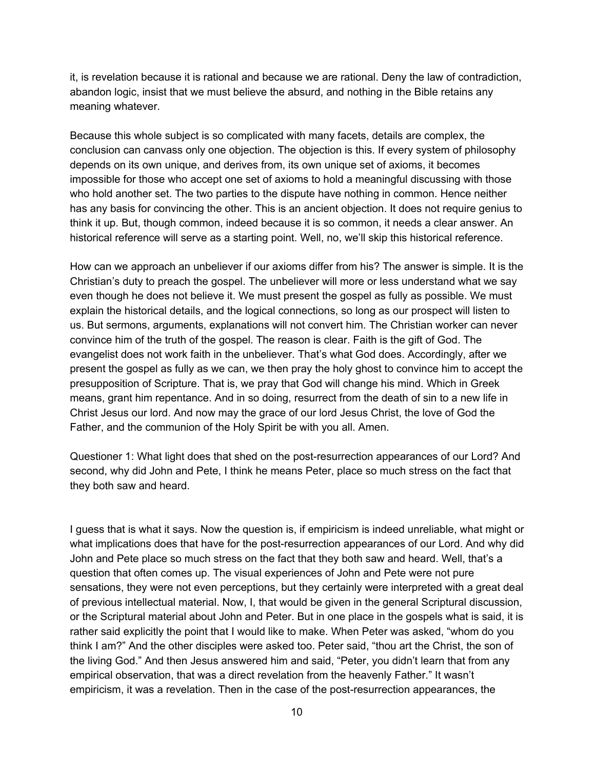it, is revelation because it is rational and because we are rational. Deny the law of contradiction, abandon logic, insist that we must believe the absurd, and nothing in the Bible retains any meaning whatever.

Because this whole subject is so complicated with many facets, details are complex, the conclusion can canvass only one objection. The objection is this. If every system of philosophy depends on its own unique, and derives from, its own unique set of axioms, it becomes impossible for those who accept one set of axioms to hold a meaningful discussing with those who hold another set. The two parties to the dispute have nothing in common. Hence neither has any basis for convincing the other. This is an ancient objection. It does not require genius to think it up. But, though common, indeed because it is so common, it needs a clear answer. An historical reference will serve as a starting point. Well, no, we'll skip this historical reference.

How can we approach an unbeliever if our axioms differ from his? The answer is simple. It is the Christian's duty to preach the gospel. The unbeliever will more or less understand what we say even though he does not believe it. We must present the gospel as fully as possible. We must explain the historical details, and the logical connections, so long as our prospect will listen to us. But sermons, arguments, explanations will not convert him. The Christian worker can never convince him of the truth of the gospel. The reason is clear. Faith is the gift of God. The evangelist does not work faith in the unbeliever. That's what God does. Accordingly, after we present the gospel as fully as we can, we then pray the holy ghost to convince him to accept the presupposition of Scripture. That is, we pray that God will change his mind. Which in Greek means, grant him repentance. And in so doing, resurrect from the death of sin to a new life in Christ Jesus our lord. And now may the grace of our lord Jesus Christ, the love of God the Father, and the communion of the Holy Spirit be with you all. Amen.

Questioner 1: What light does that shed on the postresurrection appearances of our Lord? And second, why did John and Pete, I think he means Peter, place so much stress on the fact that they both saw and heard.

I guess that is what it says. Now the question is, if empiricism is indeed unreliable, what might or what implications does that have for the post-resurrection appearances of our Lord. And why did John and Pete place so much stress on the fact that they both saw and heard. Well, that's a question that often comes up. The visual experiences of John and Pete were not pure sensations, they were not even perceptions, but they certainly were interpreted with a great deal of previous intellectual material. Now, I, that would be given in the general Scriptural discussion, or the Scriptural material about John and Peter. But in one place in the gospels what is said, it is rather said explicitly the point that I would like to make. When Peter was asked, "whom do you think I am?" And the other disciples were asked too. Peter said, "thou art the Christ, the son of the living God." And then Jesus answered him and said, "Peter, you didn't learn that from any empirical observation, that was a direct revelation from the heavenly Father." It wasn't empiricism, it was a revelation. Then in the case of the post-resurrection appearances, the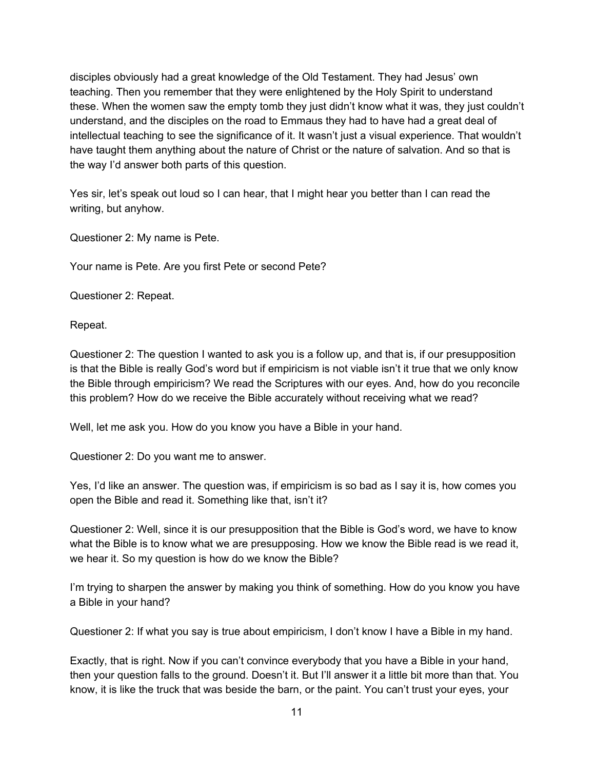disciples obviously had a great knowledge of the Old Testament. They had Jesus' own teaching. Then you remember that they were enlightened by the Holy Spirit to understand these. When the women saw the empty tomb they just didn't know what it was, they just couldn't understand, and the disciples on the road to Emmaus they had to have had a great deal of intellectual teaching to see the significance of it. It wasn't just a visual experience. That wouldn't have taught them anything about the nature of Christ or the nature of salvation. And so that is the way I'd answer both parts of this question.

Yes sir, let's speak out loud so I can hear, that I might hear you better than I can read the writing, but anyhow.

Questioner 2: My name is Pete.

Your name is Pete. Are you first Pete or second Pete?

Questioner 2: Repeat.

Repeat.

Questioner 2: The question I wanted to ask you is a follow up, and that is, if our presupposition is that the Bible is really God's word but if empiricism is not viable isn't it true that we only know the Bible through empiricism? We read the Scriptures with our eyes. And, how do you reconcile this problem? How do we receive the Bible accurately without receiving what we read?

Well, let me ask you. How do you know you have a Bible in your hand.

Questioner 2: Do you want me to answer.

Yes, I'd like an answer. The question was, if empiricism is so bad as I say it is, how comes you open the Bible and read it. Something like that, isn't it?

Questioner 2: Well, since it is our presupposition that the Bible is God's word, we have to know what the Bible is to know what we are presupposing. How we know the Bible read is we read it, we hear it. So my question is how do we know the Bible?

I'm trying to sharpen the answer by making you think of something. How do you know you have a Bible in your hand?

Questioner 2: If what you say is true about empiricism, I don't know I have a Bible in my hand.

Exactly, that is right. Now if you can't convince everybody that you have a Bible in your hand, then your question falls to the ground. Doesn't it. But I'll answer it a little bit more than that. You know, it is like the truck that was beside the barn, or the paint. You can't trust your eyes, your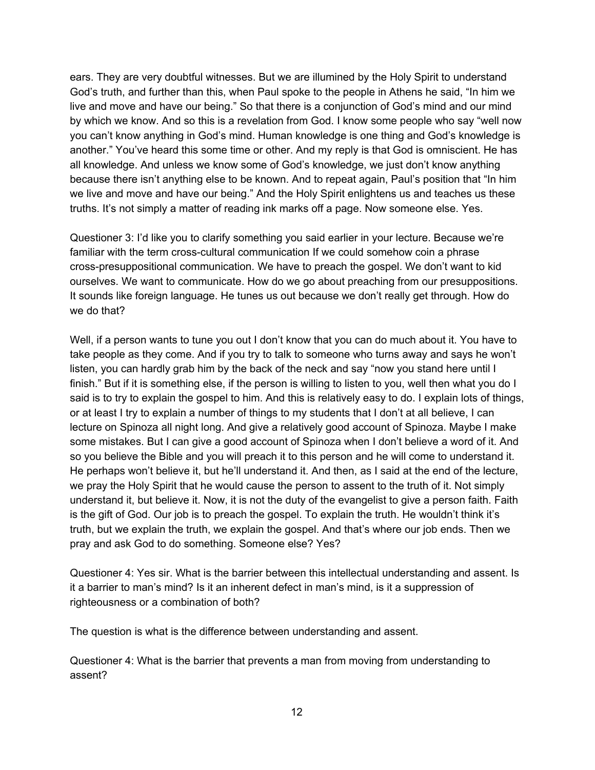ears. They are very doubtful witnesses. But we are illumined by the Holy Spirit to understand God's truth, and further than this, when Paul spoke to the people in Athens he said, "In him we live and move and have our being." So that there is a conjunction of God's mind and our mind by which we know. And so this is a revelation from God. I know some people who say "well now you can't know anything in God's mind. Human knowledge is one thing and God's knowledge is another." You've heard this some time or other. And my reply is that God is omniscient. He has all knowledge. And unless we know some of God's knowledge, we just don't know anything because there isn't anything else to be known. And to repeat again, Paul's position that "In him we live and move and have our being." And the Holy Spirit enlightens us and teaches us these truths. It's not simply a matter of reading ink marks off a page. Now someone else. Yes.

Questioner 3: I'd like you to clarify something you said earlier in your lecture. Because we're familiar with the term cross-cultural communication If we could somehow coin a phrase cross-presuppositional communication. We have to preach the gospel. We don't want to kid ourselves. We want to communicate. How do we go about preaching from our presuppositions. It sounds like foreign language. He tunes us out because we don't really get through. How do we do that?

Well, if a person wants to tune you out I don't know that you can do much about it. You have to take people as they come. And if you try to talk to someone who turns away and says he won't listen, you can hardly grab him by the back of the neck and say "now you stand here until I finish." But if it is something else, if the person is willing to listen to you, well then what you do I said is to try to explain the gospel to him. And this is relatively easy to do. I explain lots of things, or at least I try to explain a number of things to my students that I don't at all believe, I can lecture on Spinoza all night long. And give a relatively good account of Spinoza. Maybe I make some mistakes. But I can give a good account of Spinoza when I don't believe a word of it. And so you believe the Bible and you will preach it to this person and he will come to understand it. He perhaps won't believe it, but he'll understand it. And then, as I said at the end of the lecture, we pray the Holy Spirit that he would cause the person to assent to the truth of it. Not simply understand it, but believe it. Now, it is not the duty of the evangelist to give a person faith. Faith is the gift of God. Our job is to preach the gospel. To explain the truth. He wouldn't think it's truth, but we explain the truth, we explain the gospel. And that's where our job ends. Then we pray and ask God to do something. Someone else? Yes?

Questioner 4: Yes sir. What is the barrier between this intellectual understanding and assent. Is it a barrier to man's mind? Is it an inherent defect in man's mind, is it a suppression of righteousness or a combination of both?

The question is what is the difference between understanding and assent.

Questioner 4: What is the barrier that prevents a man from moving from understanding to assent?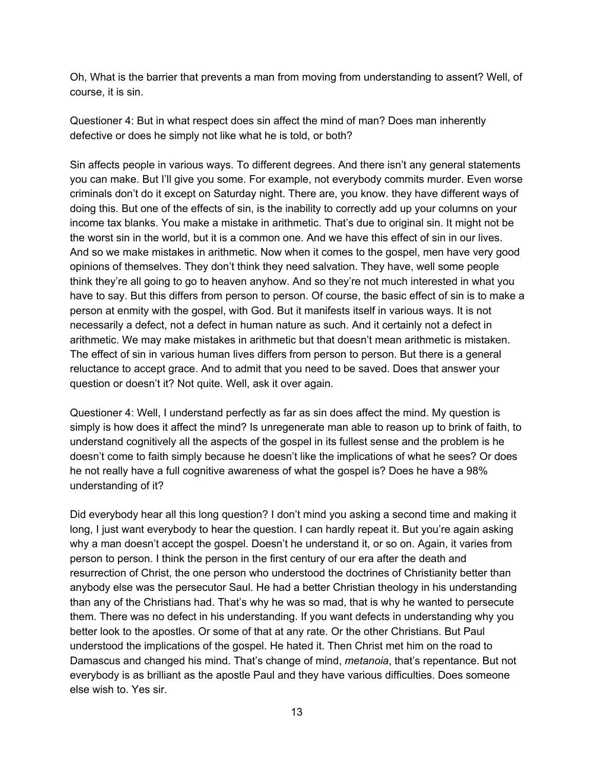Oh, What is the barrier that prevents a man from moving from understanding to assent? Well, of course, it is sin.

Questioner 4: But in what respect does sin affect the mind of man? Does man inherently defective or does he simply not like what he is told, or both?

Sin affects people in various ways. To different degrees. And there isn't any general statements you can make. But I'll give you some. For example, not everybody commits murder. Even worse criminals don't do it except on Saturday night. There are, you know. they have different ways of doing this. But one of the effects of sin, is the inability to correctly add up your columns on your income tax blanks. You make a mistake in arithmetic. That's due to original sin. It might not be the worst sin in the world, but it is a common one. And we have this effect of sin in our lives. And so we make mistakes in arithmetic. Now when it comes to the gospel, men have very good opinions of themselves. They don't think they need salvation. They have, well some people think they're all going to go to heaven anyhow. And so they're not much interested in what you have to say. But this differs from person to person. Of course, the basic effect of sin is to make a person at enmity with the gospel, with God. But it manifests itself in various ways. It is not necessarily a defect, not a defect in human nature as such. And it certainly not a defect in arithmetic. We may make mistakes in arithmetic but that doesn't mean arithmetic is mistaken. The effect of sin in various human lives differs from person to person. But there is a general reluctance to accept grace. And to admit that you need to be saved. Does that answer your question or doesn't it? Not quite. Well, ask it over again.

Questioner 4: Well, I understand perfectly as far as sin does affect the mind. My question is simply is how does it affect the mind? Is unregenerate man able to reason up to brink of faith, to understand cognitively all the aspects of the gospel in its fullest sense and the problem is he doesn't come to faith simply because he doesn't like the implications of what he sees? Or does he not really have a full cognitive awareness of what the gospel is? Does he have a 98% understanding of it?

Did everybody hear all this long question? I don't mind you asking a second time and making it long, I just want everybody to hear the question. I can hardly repeat it. But you're again asking why a man doesn't accept the gospel. Doesn't he understand it, or so on. Again, it varies from person to person. I think the person in the first century of our era after the death and resurrection of Christ, the one person who understood the doctrines of Christianity better than anybody else was the persecutor Saul. He had a better Christian theology in his understanding than any of the Christians had. That's why he was so mad, that is why he wanted to persecute them. There was no defect in his understanding. If you want defects in understanding why you better look to the apostles. Or some of that at any rate. Or the other Christians. But Paul understood the implications of the gospel. He hated it. Then Christ met him on the road to Damascus and changed his mind. That's change of mind, *metanoia*, that's repentance. But not everybody is as brilliant as the apostle Paul and they have various difficulties. Does someone else wish to. Yes sir.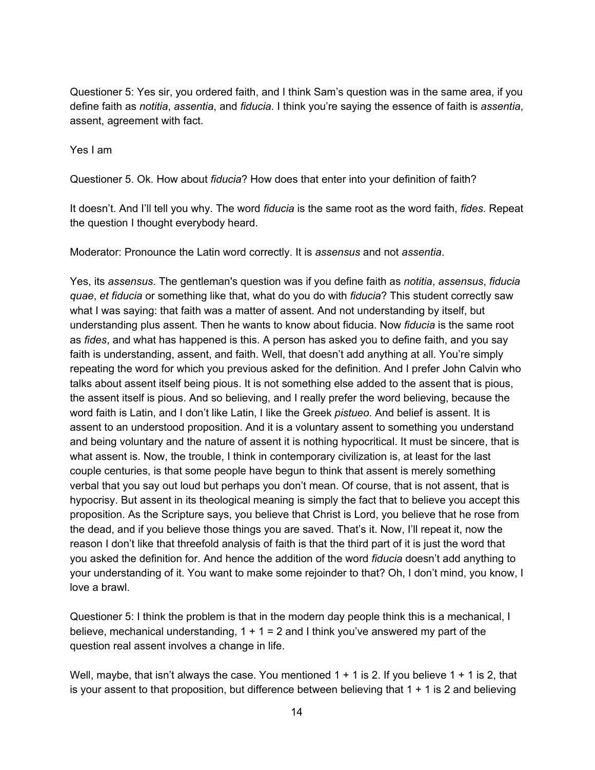Questioner 5: Yes sir, you ordered faith, and I think Sam's question was in the same area, if you define faith as *notitia*, *assentia*, and *fiducia*. I think you're saying the essence of faith is *assentia*, assent, agreement with fact.

Yes I am

Questioner 5. Ok. How about *fiducia*? How does that enter into your definition of faith?

It doesn't. And I'll tell you why. The word *fiducia* is the same root as the word faith, *fides*. Repeat the question I thought everybody heard.

Moderator: Pronounce the Latin word correctly. It is *assensus* and not *assentia*.

Yes, its *assensus*. The gentleman's question was if you define faith as *notitia*, *assensus*, *fiducia quae*, *et fiducia* or something like that, what do you do with *fiducia*? This student correctly saw what I was saying: that faith was a matter of assent. And not understanding by itself, but understanding plus assent. Then he wants to know about fiducia. Now *fiducia* is the same root as *fides*, and what has happened is this. A person has asked you to define faith, and you say faith is understanding, assent, and faith. Well, that doesn't add anything at all. You're simply repeating the word for which you previous asked for the definition. And I prefer John Calvin who talks about assent itself being pious. It is not something else added to the assent that is pious, the assent itself is pious. And so believing, and I really prefer the word believing, because the word faith is Latin, and I don't like Latin, I like the Greek *pistueo*. And belief is assent. It is assent to an understood proposition. And it is a voluntary assent to something you understand and being voluntary and the nature of assent it is nothing hypocritical. It must be sincere, that is what assent is. Now, the trouble, I think in contemporary civilization is, at least for the last couple centuries, is that some people have begun to think that assent is merely something verbal that you say out loud but perhaps you don't mean. Of course, that is not assent, that is hypocrisy. But assent in its theological meaning is simply the fact that to believe you accept this proposition. As the Scripture says, you believe that Christ is Lord, you believe that he rose from the dead, and if you believe those things you are saved. That's it. Now, I'll repeat it, now the reason I don't like that threefold analysis of faith is that the third part of it is just the word that you asked the definition for. And hence the addition of the word *fiducia* doesn't add anything to your understanding of it. You want to make some rejoinder to that? Oh, I don't mind, you know, I love a brawl.

Questioner 5: I think the problem is that in the modern day people think this is a mechanical, I believe, mechanical understanding,  $1 + 1 = 2$  and I think you've answered my part of the question real assent involves a change in life.

Well, maybe, that isn't always the case. You mentioned  $1 + 1$  is 2. If you believe  $1 + 1$  is 2, that is your assent to that proposition, but difference between believing that  $1 + 1$  is 2 and believing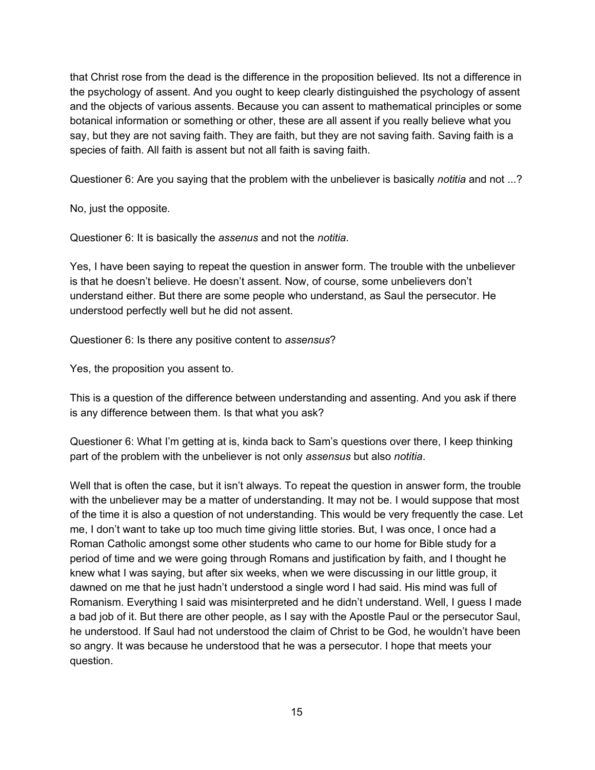that Christ rose from the dead is the difference in the proposition believed. Its not a difference in the psychology of assent. And you ought to keep clearly distinguished the psychology of assent and the objects of various assents. Because you can assent to mathematical principles or some botanical information or something or other, these are all assent if you really believe what you say, but they are not saving faith. They are faith, but they are not saving faith. Saving faith is a species of faith. All faith is assent but not all faith is saving faith.

Questioner 6: Are you saying that the problem with the unbeliever is basically *notitia* and not ...?

No, just the opposite.

Questioner 6: It is basically the *assenus* and not the *notitia*.

Yes, I have been saying to repeat the question in answer form. The trouble with the unbeliever is that he doesn't believe. He doesn't assent. Now, of course, some unbelievers don't understand either. But there are some people who understand, as Saul the persecutor. He understood perfectly well but he did not assent.

Questioner 6: Is there any positive content to *assensus*?

Yes, the proposition you assent to.

This is a question of the difference between understanding and assenting. And you ask if there is any difference between them. Is that what you ask?

Questioner 6: What I'm getting at is, kinda back to Sam's questions over there, I keep thinking part of the problem with the unbeliever is not only *assensus* but also *notitia*.

Well that is often the case, but it isn't always. To repeat the question in answer form, the trouble with the unbeliever may be a matter of understanding. It may not be. I would suppose that most of the time it is also a question of not understanding. This would be very frequently the case. Let me, I don't want to take up too much time giving little stories. But, I was once, I once had a Roman Catholic amongst some other students who came to our home for Bible study for a period of time and we were going through Romans and justification by faith, and I thought he knew what I was saying, but after six weeks, when we were discussing in our little group, it dawned on me that he just hadn't understood a single word I had said. His mind was full of Romanism. Everything I said was misinterpreted and he didn't understand. Well, I guess I made a bad job of it. But there are other people, as I say with the Apostle Paul or the persecutor Saul, he understood. If Saul had not understood the claim of Christ to be God, he wouldn't have been so angry. It was because he understood that he was a persecutor. I hope that meets your question.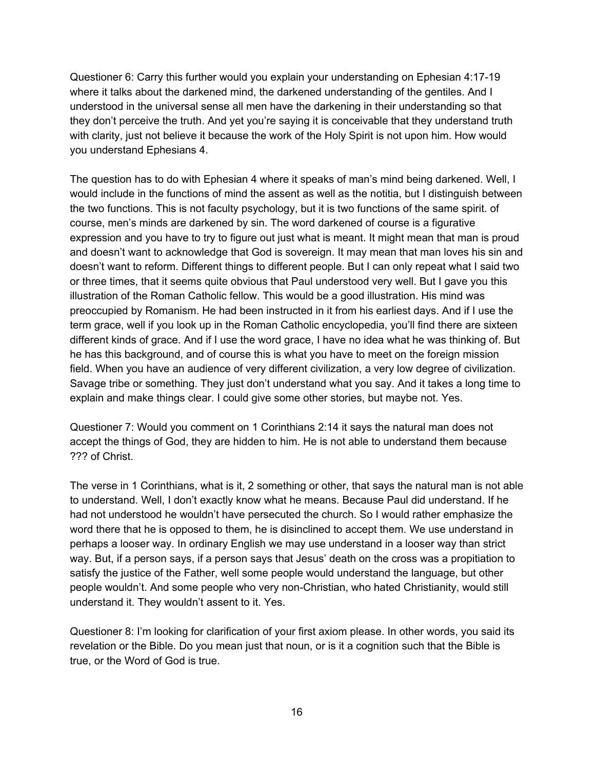Questioner 6: Carry this further would you explain your understanding on Ephesian 4:1719 where it talks about the darkened mind, the darkened understanding of the gentiles. And I understood in the universal sense all men have the darkening in their understanding so that they don't perceive the truth. And yet you're saying it is conceivable that they understand truth with clarity, just not believe it because the work of the Holy Spirit is not upon him. How would you understand Ephesians 4.

The question has to do with Ephesian 4 where it speaks of man's mind being darkened. Well, I would include in the functions of mind the assent as well as the notitia, but I distinguish between the two functions. This is not faculty psychology, but it is two functions of the same spirit. of course, men's minds are darkened by sin. The word darkened of course is a figurative expression and you have to try to figure out just what is meant. It might mean that man is proud and doesn't want to acknowledge that God is sovereign. It may mean that man loves his sin and doesn't want to reform. Different things to different people. But I can only repeat what I said two or three times, that it seems quite obvious that Paul understood very well. But I gave you this illustration of the Roman Catholic fellow. This would be a good illustration. His mind was preoccupied by Romanism. He had been instructed in it from his earliest days. And if I use the term grace, well if you look up in the Roman Catholic encyclopedia, you'll find there are sixteen different kinds of grace. And if I use the word grace, I have no idea what he was thinking of. But he has this background, and of course this is what you have to meet on the foreign mission field. When you have an audience of very different civilization, a very low degree of civilization. Savage tribe or something. They just don't understand what you say. And it takes a long time to explain and make things clear. I could give some other stories, but maybe not. Yes.

Questioner 7: Would you comment on 1 Corinthians 2:14 it says the natural man does not accept the things of God, they are hidden to him. He is not able to understand them because ??? of Christ.

The verse in 1 Corinthians, what is it, 2 something or other, that says the natural man is not able to understand. Well, I don't exactly know what he means. Because Paul did understand. If he had not understood he wouldn't have persecuted the church. So I would rather emphasize the word there that he is opposed to them, he is disinclined to accept them. We use understand in perhaps a looser way. In ordinary English we may use understand in a looser way than strict way. But, if a person says, if a person says that Jesus' death on the cross was a propitiation to satisfy the justice of the Father, well some people would understand the language, but other people wouldn't. And some people who very non-Christian, who hated Christianity, would still understand it. They wouldn't assent to it. Yes.

Questioner 8: I'm looking for clarification of your first axiom please. In other words, you said its revelation or the Bible. Do you mean just that noun, or is it a cognition such that the Bible is true, or the Word of God is true.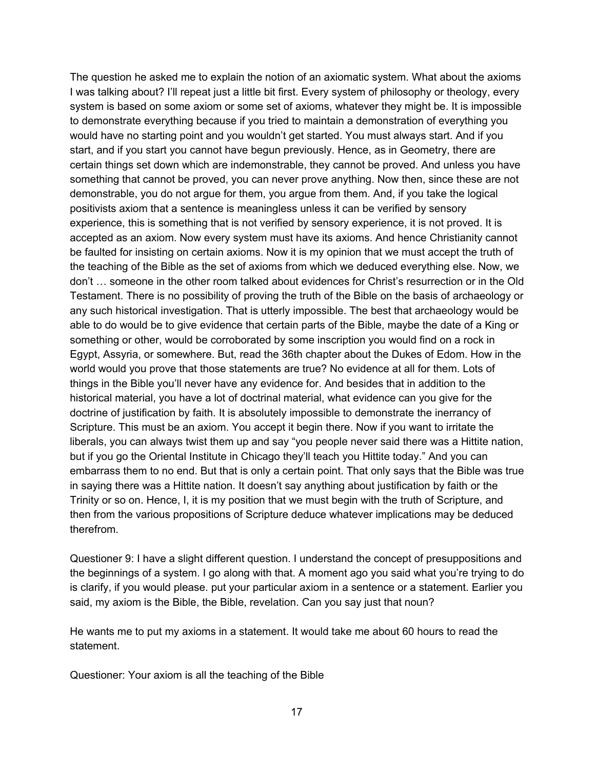The question he asked me to explain the notion of an axiomatic system. What about the axioms I was talking about? I'll repeat just a little bit first. Every system of philosophy or theology, every system is based on some axiom or some set of axioms, whatever they might be. It is impossible to demonstrate everything because if you tried to maintain a demonstration of everything you would have no starting point and you wouldn't get started. You must always start. And if you start, and if you start you cannot have begun previously. Hence, as in Geometry, there are certain things set down which are indemonstrable, they cannot be proved. And unless you have something that cannot be proved, you can never prove anything. Now then, since these are not demonstrable, you do not argue for them, you argue from them. And, if you take the logical positivists axiom that a sentence is meaningless unless it can be verified by sensory experience, this is something that is not verified by sensory experience, it is not proved. It is accepted as an axiom. Now every system must have its axioms. And hence Christianity cannot be faulted for insisting on certain axioms. Now it is my opinion that we must accept the truth of the teaching of the Bible as the set of axioms from which we deduced everything else. Now, we don't … someone in the other room talked about evidences for Christ's resurrection or in the Old Testament. There is no possibility of proving the truth of the Bible on the basis of archaeology or any such historical investigation. That is utterly impossible. The best that archaeology would be able to do would be to give evidence that certain parts of the Bible, maybe the date of a King or something or other, would be corroborated by some inscription you would find on a rock in Egypt, Assyria, or somewhere. But, read the 36th chapter about the Dukes of Edom. How in the world would you prove that those statements are true? No evidence at all for them. Lots of things in the Bible you'll never have any evidence for. And besides that in addition to the historical material, you have a lot of doctrinal material, what evidence can you give for the doctrine of justification by faith. It is absolutely impossible to demonstrate the inerrancy of Scripture. This must be an axiom. You accept it begin there. Now if you want to irritate the liberals, you can always twist them up and say "you people never said there was a Hittite nation, but if you go the Oriental Institute in Chicago they'll teach you Hittite today." And you can embarrass them to no end. But that is only a certain point. That only says that the Bible was true in saying there was a Hittite nation. It doesn't say anything about justification by faith or the Trinity or so on. Hence, I, it is my position that we must begin with the truth of Scripture, and then from the various propositions of Scripture deduce whatever implications may be deduced therefrom.

Questioner 9: I have a slight different question. I understand the concept of presuppositions and the beginnings of a system. I go along with that. A moment ago you said what you're trying to do is clarify, if you would please. put your particular axiom in a sentence or a statement. Earlier you said, my axiom is the Bible, the Bible, revelation. Can you say just that noun?

He wants me to put my axioms in a statement. It would take me about 60 hours to read the statement.

Questioner: Your axiom is all the teaching of the Bible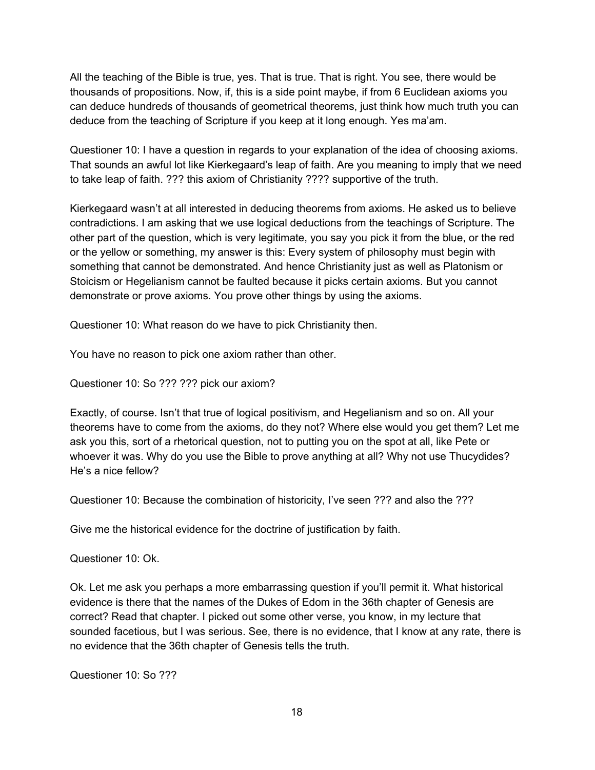All the teaching of the Bible is true, yes. That is true. That is right. You see, there would be thousands of propositions. Now, if, this is a side point maybe, if from 6 Euclidean axioms you can deduce hundreds of thousands of geometrical theorems, just think how much truth you can deduce from the teaching of Scripture if you keep at it long enough. Yes ma'am.

Questioner 10: I have a question in regards to your explanation of the idea of choosing axioms. That sounds an awful lot like Kierkegaard's leap of faith. Are you meaning to imply that we need to take leap of faith. ??? this axiom of Christianity ???? supportive of the truth.

Kierkegaard wasn't at all interested in deducing theorems from axioms. He asked us to believe contradictions. I am asking that we use logical deductions from the teachings of Scripture. The other part of the question, which is very legitimate, you say you pick it from the blue, or the red or the yellow or something, my answer is this: Every system of philosophy must begin with something that cannot be demonstrated. And hence Christianity just as well as Platonism or Stoicism or Hegelianism cannot be faulted because it picks certain axioms. But you cannot demonstrate or prove axioms. You prove other things by using the axioms.

Questioner 10: What reason do we have to pick Christianity then.

You have no reason to pick one axiom rather than other.

Questioner 10: So ??? ??? pick our axiom?

Exactly, of course. Isn't that true of logical positivism, and Hegelianism and so on. All your theorems have to come from the axioms, do they not? Where else would you get them? Let me ask you this, sort of a rhetorical question, not to putting you on the spot at all, like Pete or whoever it was. Why do you use the Bible to prove anything at all? Why not use Thucydides? He's a nice fellow?

Questioner 10: Because the combination of historicity, I've seen ??? and also the ???

Give me the historical evidence for the doctrine of justification by faith.

Questioner 10: Ok.

Ok. Let me ask you perhaps a more embarrassing question if you'll permit it. What historical evidence is there that the names of the Dukes of Edom in the 36th chapter of Genesis are correct? Read that chapter. I picked out some other verse, you know, in my lecture that sounded facetious, but I was serious. See, there is no evidence, that I know at any rate, there is no evidence that the 36th chapter of Genesis tells the truth.

Questioner 10: So ???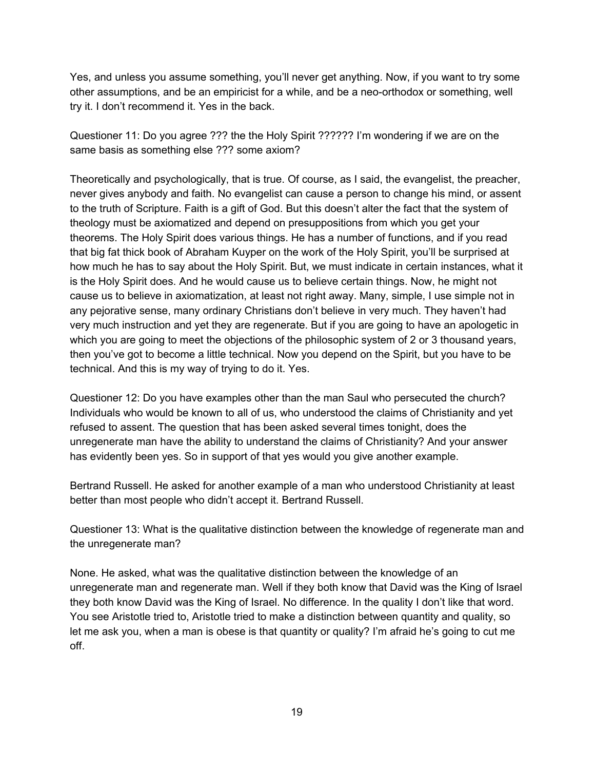Yes, and unless you assume something, you'll never get anything. Now, if you want to try some other assumptions, and be an empiricist for a while, and be a neo-orthodox or something, well try it. I don't recommend it. Yes in the back.

Questioner 11: Do you agree ??? the the Holy Spirit ?????? I'm wondering if we are on the same basis as something else ??? some axiom?

Theoretically and psychologically, that is true. Of course, as I said, the evangelist, the preacher, never gives anybody and faith. No evangelist can cause a person to change his mind, or assent to the truth of Scripture. Faith is a gift of God. But this doesn't alter the fact that the system of theology must be axiomatized and depend on presuppositions from which you get your theorems. The Holy Spirit does various things. He has a number of functions, and if you read that big fat thick book of Abraham Kuyper on the work of the Holy Spirit, you'll be surprised at how much he has to say about the Holy Spirit. But, we must indicate in certain instances, what it is the Holy Spirit does. And he would cause us to believe certain things. Now, he might not cause us to believe in axiomatization, at least not right away. Many, simple, I use simple not in any pejorative sense, many ordinary Christians don't believe in very much. They haven't had very much instruction and yet they are regenerate. But if you are going to have an apologetic in which you are going to meet the objections of the philosophic system of 2 or 3 thousand years, then you've got to become a little technical. Now you depend on the Spirit, but you have to be technical. And this is my way of trying to do it. Yes.

Questioner 12: Do you have examples other than the man Saul who persecuted the church? Individuals who would be known to all of us, who understood the claims of Christianity and yet refused to assent. The question that has been asked several times tonight, does the unregenerate man have the ability to understand the claims of Christianity? And your answer has evidently been yes. So in support of that yes would you give another example.

Bertrand Russell. He asked for another example of a man who understood Christianity at least better than most people who didn't accept it. Bertrand Russell.

Questioner 13: What is the qualitative distinction between the knowledge of regenerate man and the unregenerate man?

None. He asked, what was the qualitative distinction between the knowledge of an unregenerate man and regenerate man. Well if they both know that David was the King of Israel they both know David was the King of Israel. No difference. In the quality I don't like that word. You see Aristotle tried to, Aristotle tried to make a distinction between quantity and quality, so let me ask you, when a man is obese is that quantity or quality? I'm afraid he's going to cut me off.